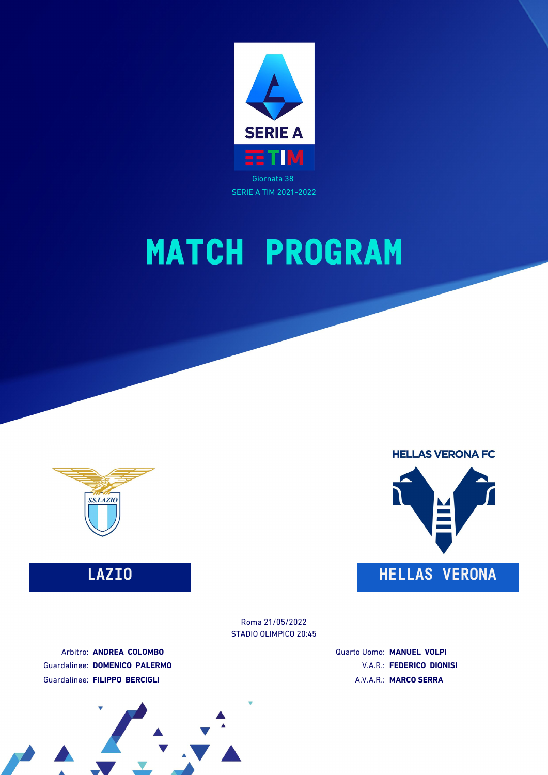



## **LAZIO HELLAS VERONA**

STADIO OLIMPICO 20:45 Roma 21/05/2022

Arbitro: **ANDREA COLOMBO** Guardalinee: **DOMENICO PALERMO** Guardalinee: **FILIPPO BERCIGLI**

Quarto Uomo: **MANUEL VOLPI** V.A.R.: **FEDERICO DIONISI** A.V.A.R.: **MARCO SERRA**

**HELLAS VERONA FC** 

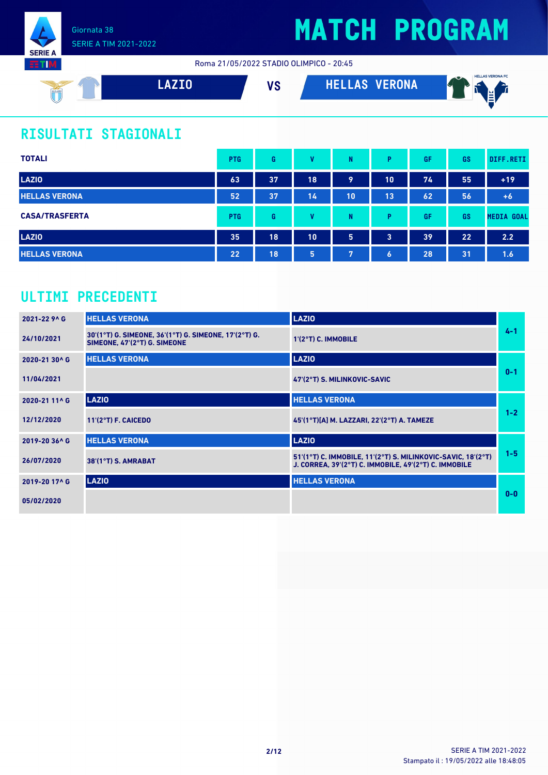

Roma 21/05/2022 STADIO OLIMPICO - 20:45



## **RISULTATI STAGIONALI**

| <b>TOTALI</b>         | <b>PTG</b>      | G  | v  | N  | P                | GF | <b>GS</b> | DIFF.RETI         |
|-----------------------|-----------------|----|----|----|------------------|----|-----------|-------------------|
| <b>LAZIO</b>          | 63              | 37 | 18 | 9  | 10               | 74 | 55        | $+19$             |
| <b>HELLAS VERONA</b>  | 52              | 37 | 14 | 10 | 13               | 62 | 56        | $+6$              |
| <b>CASA/TRASFERTA</b> | <b>PTG</b>      | G  | v  | N  | P                | GF | GS        | <b>MEDIA GOAL</b> |
| <b>LAZIO</b>          | 35              | 18 | 10 | 5  | 3                | 39 | 22        | 2.2               |
| <b>HELLAS VERONA</b>  | 22 <sub>1</sub> | 18 | 5  | 7  | $\boldsymbol{6}$ | 28 | 31        | 1.6               |

### **ULTIMI PRECEDENTI**

| 2021-22 9^ G  | <b>HELLAS VERONA</b>                                                                  | <b>LAZIO</b>                                                                                                          |         |
|---------------|---------------------------------------------------------------------------------------|-----------------------------------------------------------------------------------------------------------------------|---------|
| 24/10/2021    | 30'(1°T) G. SIMEONE, 36'(1°T) G. SIMEONE, 17'(2°T) G.<br>SIMEONE, 47'(2°T) G. SIMEONE | 1'(2°T) C. IMMOBILE                                                                                                   | $4 - 1$ |
| 2020-21 30^ G | <b>HELLAS VERONA</b>                                                                  | <b>LAZIO</b>                                                                                                          |         |
| 11/04/2021    |                                                                                       | 47'(2°T) S. MILINKOVIC-SAVIC                                                                                          | $0 - 1$ |
| 2020-21 11^ G | <b>LAZIO</b>                                                                          | <b>HELLAS VERONA</b>                                                                                                  |         |
| 12/12/2020    | $11'(2°T)$ F. CAICEDO                                                                 | 45'(1°T)[A] M. LAZZARI, 22'(2°T) A. TAMEZE                                                                            | $1 - 2$ |
| 2019-20 36^ G | <b>HELLAS VERONA</b>                                                                  | <b>LAZIO</b>                                                                                                          |         |
| 26/07/2020    | 38'(1°T) S. AMRABAT                                                                   | 51'(1°T) C. IMMOBILE, 11'(2°T) S. MILINKOVIC-SAVIC, 18'(2°T)<br>J. CORREA, 39'(2°T) C. IMMOBILE, 49'(2°T) C. IMMOBILE | $1 - 5$ |
| 2019-20 17^ G | <b>LAZIO</b>                                                                          | <b>HELLAS VERONA</b>                                                                                                  |         |
| 05/02/2020    |                                                                                       |                                                                                                                       | $0 - 0$ |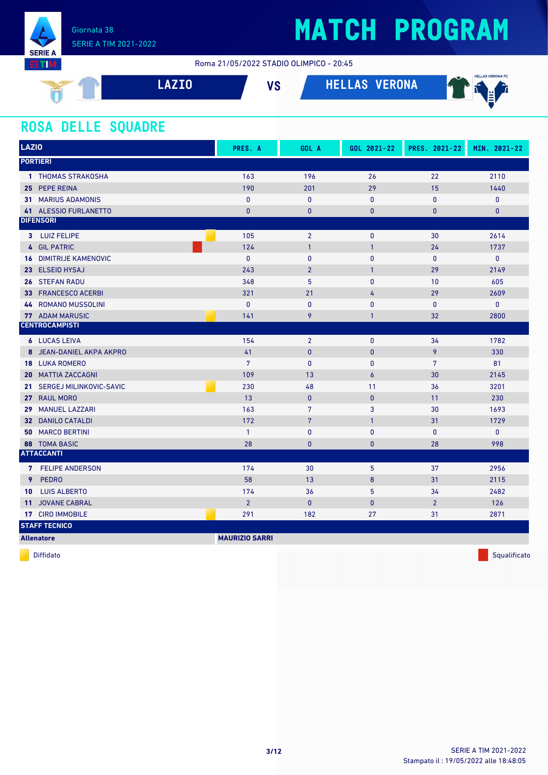

Roma 21/05/2022 STADIO OLIMPICO - 20:45

| <b>VERONA</b><br><b>7TN</b><br>ΝS<br><b>In</b><br>◡<br>SSLAZIO<br>u<br>N. | <b>HELLAS VERONA FC</b><br>.<br>. . |  |
|---------------------------------------------------------------------------|-------------------------------------|--|
|---------------------------------------------------------------------------|-------------------------------------|--|

### **ROSA DELLE SQUADRE**

| <b>LAZIO</b>                        | PRES. A               | GOL A           | GOL 2021-22      | PRES. 2021-22  | MIN. 2021-22 |
|-------------------------------------|-----------------------|-----------------|------------------|----------------|--------------|
| <b>PORTIERI</b>                     |                       |                 |                  |                |              |
| 1 THOMAS STRAKOSHA                  | 163                   | 196             | 26               | 22             | 2110         |
| 25 PEPE REINA                       | 190                   | 201             | 29               | 15             | 1440         |
| <b>31 MARIUS ADAMONIS</b>           | $\mathbf{0}$          | $\mathbf{0}$    | $\mathbf{0}$     | 0              | 0            |
| 41 ALESSIO FURLANETTO               | $\bf{0}$              | $\pmb{0}$       | $\bf{0}$         | $\bf{0}$       | $\mathbf{0}$ |
| <b>DIFENSORI</b>                    |                       |                 |                  |                |              |
| 3 LUIZ FELIPE                       | 105                   | $\overline{2}$  | $\mathbf{0}$     | 30             | 2614         |
| 4 GIL PATRIC                        | 124                   | $\overline{1}$  | $\mathbf{1}$     | 24             | 1737         |
| <b>16 DIMITRIJE KAMENOVIC</b>       | $\mathbf{0}$          | $\mathbf{0}$    | $\mathbf{0}$     | 0              | $\mathbf 0$  |
| 23 ELSEID HYSAJ                     | 243                   | $\overline{2}$  | $\mathbf{1}$     | 29             | 2149         |
| <b>STEFAN RADU</b><br>26            | 348                   | $5\phantom{.0}$ | 0                | 10             | 605          |
| 33 FRANCESCO ACERBI                 | 321                   | 21              | 4                | 29             | 2609         |
| <b>44 ROMANO MUSSOLINI</b>          | $\mathbf{0}$          | $\mathbf{0}$    | 0                | 0              | 0            |
| <b>77 ADAM MARUSIC</b>              | 141                   | 9               | $\mathbf{1}$     | 32             | 2800         |
| <b>CENTROCAMPISTI</b>               |                       |                 |                  |                |              |
| <b>6</b> LUCAS LEIVA                | 154                   | $\overline{2}$  | $\mathbf{0}$     | 34             | 1782         |
| 8 JEAN-DANIEL AKPA AKPRO            | 41                    | $\pmb{0}$       | $\pmb{0}$        | 9              | 330          |
| <b>18 LUKA ROMERO</b>               | $7\phantom{.}$        | $\mathbf{0}$    | $\mathbf{0}$     | $\overline{7}$ | 81           |
| <b>20 MATTIA ZACCAGNI</b>           | 109                   | 13              | 6                | 30             | 2145         |
| SERGEJ MILINKOVIC-SAVIC<br>21.      | 230                   | 48              | 11               | 36             | 3201         |
| <b>RAUL MORO</b><br>27 <sub>2</sub> | 13                    | $\pmb{0}$       | $\pmb{0}$        | 11             | 230          |
| <b>MANUEL LAZZARI</b><br>29         | 163                   | 7               | 3                | 30             | 1693         |
| 32 DANILO CATALDI                   | 172                   | $7\phantom{.0}$ | $\mathbf{1}$     | 31             | 1729         |
| <b>MARCO BERTINI</b><br>50          | $\mathbf{1}$          | $\pmb{0}$       | $\pmb{0}$        | 0              | 0            |
| <b>88 TOMA BASIC</b>                | 28                    | $\mathbf{0}$    | $\bf{0}$         | 28             | 998          |
| <b>ATTACCANTI</b>                   |                       |                 |                  |                |              |
| 7 FELIPE ANDERSON                   | 174                   | 30              | 5                | 37             | 2956         |
| 9<br><b>PEDRO</b>                   | 58                    | 13              | $\boldsymbol{8}$ | 31             | 2115         |
| <b>LUIS ALBERTO</b><br>10           | 174                   | 36              | 5                | 34             | 2482         |
| <b>JOVANE CABRAL</b><br>11          | $\overline{2}$        | $\pmb{0}$       | $\mathbf{0}$     | $\overline{2}$ | 126          |
| 17 CIRO IMMOBILE                    | 291                   | 182             | 27               | 31             | 2871         |
| <b>STAFF TECNICO</b>                |                       |                 |                  |                |              |
| <b>Allenatore</b>                   | <b>MAURIZIO SARRI</b> |                 |                  |                |              |

diffidato de la contradicción de la contradicción de la contradicción de la contradicción de la contradicción de Squalificato de la contradicción de la contradicción de la contradicción de la contradicción de la contradicc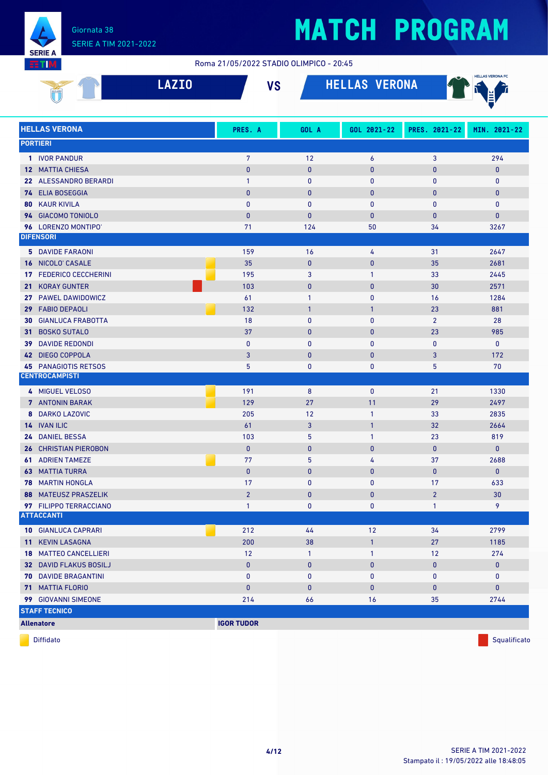

#### Roma 21/05/2022 STADIO OLIMPICO - 20:45

| SSLAZIO | 7 T N<br><u>LALIV</u> | $\overline{10}$<br>o | <b>VERONA</b><br>, , , , , , , , , , , , , , , , , , <u>, , , , , , , , , , ,</u> | <b>HELLAS VERONA FC</b><br>$\sim$<br>Ц. |
|---------|-----------------------|----------------------|-----------------------------------------------------------------------------------|-----------------------------------------|
|         |                       |                      |                                                                                   | $\sim$                                  |

|                 | <b>HELLAS VERONA</b>         | PRES. A           | GOL A        | GOL 2021-22  | PRES. 2021-22  | MIN. 2021-22 |
|-----------------|------------------------------|-------------------|--------------|--------------|----------------|--------------|
| <b>PORTIERI</b> |                              |                   |              |              |                |              |
|                 | 1 IVOR PANDUR                | $\overline{7}$    | 12           | 6            | 3              | 294          |
|                 | <b>12 MATTIA CHIESA</b>      | $\mathbf{0}$      | $\bf{0}$     | $\pmb{0}$    | $\bf{0}$       | $\mathbf{0}$ |
|                 | 22 ALESSANDRO BERARDI        | 1                 | 0            | $\mathbf{0}$ | $\mathbf{0}$   | $\mathbf 0$  |
|                 | 74 ELIA BOSEGGIA             | $\mathbf{0}$      | $\mathbf{0}$ | $\pmb{0}$    | $\bf{0}$       | $\mathbf{0}$ |
|                 | <b>80 KAUR KIVILA</b>        | $\mathbf{0}$      | $\mathbf{0}$ | 0            | $\bf{0}$       | $\mathbf 0$  |
|                 | 94 GIACOMO TONIOLO           | $\mathbf{0}$      | $\mathbf{0}$ | $\mathbf{0}$ | $\bf{0}$       | $\mathbf{0}$ |
|                 | 96 LORENZO MONTIPO'          | 71                | 124          | 50           | 34             | 3267         |
|                 | <b>DIFENSORI</b>             |                   |              |              |                |              |
|                 | <b>5 DAVIDE FARAONI</b>      | 159               | 16           | 4            | 31             | 2647         |
|                 | 16 NICOLO' CASALE            | 35                | $\bf{0}$     | $\pmb{0}$    | 35             | 2681         |
|                 | 17 FEDERICO CECCHERINI       | 195               | 3            | $\mathbf{1}$ | 33             | 2445         |
|                 | 21 KORAY GUNTER              | 103               | $\bf{0}$     | $\pmb{0}$    | 30             | 2571         |
|                 | 27 PAWEL DAWIDOWICZ          | 61                | 1            | 0            | 16             | 1284         |
|                 | 29 FABIO DEPAOLI             | 132               | $\mathbf{1}$ | $\mathbf{1}$ | 23             | 881          |
| 30              | <b>GIANLUCA FRABOTTA</b>     | 18                | $\mathbf{0}$ | 0            | $\overline{2}$ | 28           |
|                 | 31 BOSKO SUTALO              | 37                | $\mathbf{0}$ | $\pmb{0}$    | 23             | 985          |
|                 | <b>39 DAVIDE REDONDI</b>     | $\mathbf{0}$      | $\mathbf{0}$ | 0            | $\pmb{0}$      | $\mathbf 0$  |
|                 | 42 DIEGO COPPOLA             | 3                 | $\mathbf{0}$ | $\pmb{0}$    | 3              | 172          |
|                 | <b>45 PANAGIOTIS RETSOS</b>  | 5                 | 0            | 0            | 5              | 70           |
|                 | <b>CENTROCAMPISTI</b>        |                   |              |              |                |              |
|                 | 4 MIGUEL VELOSO              | 191               | 8            | $\mathbf{0}$ | 21             | 1330         |
|                 | 7 ANTONIN BARAK              | 129               | 27           | 11           | 29             | 2497         |
| 8               | <b>DARKO LAZOVIC</b>         | 205               | 12           | $\mathbf{1}$ | 33             | 2835         |
|                 | 14 IVAN ILIC                 | 61                | 3            | $\mathbf{1}$ | 32             | 2664         |
|                 | 24 DANIEL BESSA              | 103               | 5            | $\mathbf{1}$ | 23             | 819          |
|                 | <b>26 CHRISTIAN PIEROBON</b> | $\pmb{0}$         | $\mathbf{0}$ | $\pmb{0}$    | $\pmb{0}$      | $\mathbf{0}$ |
|                 | <b>61 ADRIEN TAMEZE</b>      | 77                | 5            | 4            | 37             | 2688         |
|                 | <b>63 MATTIA TURRA</b>       | $\pmb{0}$         | $\bf{0}$     | $\pmb{0}$    | $\mathbf{0}$   | $\mathbf{0}$ |
|                 | <b>78 MARTIN HONGLA</b>      | 17                | $\mathbf{0}$ | $\mathbf{0}$ | 17             | 633          |
|                 | <b>88 MATEUSZ PRASZELIK</b>  | $\overline{2}$    | $\mathbf{0}$ | $\bf{0}$     | $\overline{2}$ | 30           |
|                 | 97 FILIPPO TERRACCIANO       | $\mathbf{1}$      | $\bf{0}$     | 0            | $\mathbf{1}$   | 9            |
|                 | <b>ATTACCANTI</b>            |                   |              |              |                |              |
|                 | <b>10 GIANLUCA CAPRARI</b>   | 212               | 44           | 12           | 34             | 2799         |
|                 | 11 KEVIN LASAGNA             | 200               | 38           | $\mathbf{1}$ | 27             | 1185         |
|                 | <b>18 MATTEO CANCELLIERI</b> | $12$              | $\mathbf{1}$ | $\mathbf{1}$ | 12             | 274          |
|                 | 32 DAVID FLAKUS BOSILJ       | $\pmb{0}$         | $\pmb{0}$    | $\pmb{0}$    | $\pmb{0}$      | $\pmb{0}$    |
|                 | <b>70 DAVIDE BRAGANTINI</b>  | 0                 | 0            | 0            | 0              | $\mathbf 0$  |
|                 | <b>71 MATTIA FLORIO</b>      | $\pmb{0}$         | $\pmb{0}$    | $\pmb{0}$    | $\bf{0}$       | $\pmb{0}$    |
|                 | 99 GIOVANNI SIMEONE          | 214               | 66           | 16           | 35             | 2744         |
|                 | <b>STAFF TECNICO</b>         |                   |              |              |                |              |
|                 | <b>Allenatore</b>            | <b>IGOR TUDOR</b> |              |              |                |              |

diffidato de la contradicción de la contradicción de la contradicción de la contradicción de la contradicción de Squalificato de la contradicción de la contradicción de la contradicción de la contradicción de la contradicc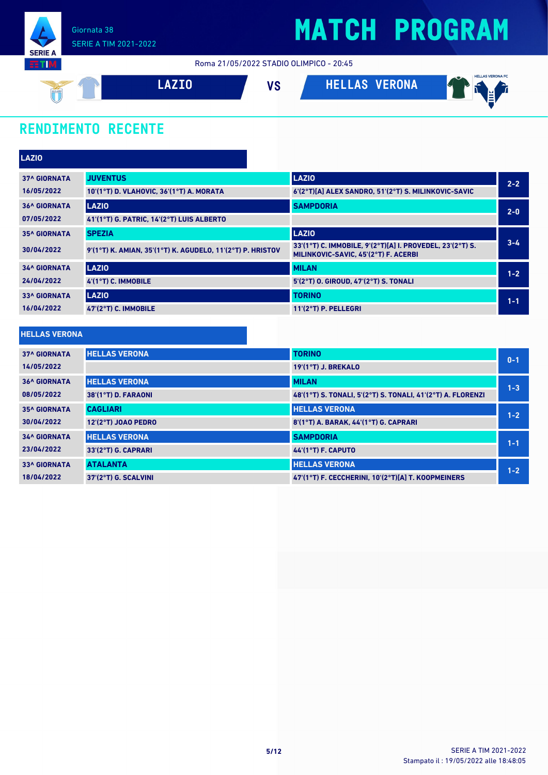

Roma 21/05/2022 STADIO OLIMPICO - 20:45



### **RENDIMENTO RECENTE**

| <b>LAZIO</b>        |                                                            |                                                                                                   |         |
|---------------------|------------------------------------------------------------|---------------------------------------------------------------------------------------------------|---------|
| <b>37^ GIORNATA</b> | <b>JUVENTUS</b>                                            | <b>LAZIO</b>                                                                                      | $2 - 2$ |
| 16/05/2022          | 10'(1°T) D. VLAHOVIC, 36'(1°T) A. MORATA                   | 6'(2°T)[A] ALEX SANDRO, 51'(2°T) S. MILINKOVIC-SAVIC                                              |         |
| <b>36^ GIORNATA</b> | LAZIO                                                      | <b>SAMPDORIA</b>                                                                                  | $2 - 0$ |
| 07/05/2022          | 41'(1°T) G. PATRIC, 14'(2°T) LUIS ALBERTO                  |                                                                                                   |         |
| <b>35^ GIORNATA</b> | <b>SPEZIA</b>                                              | <b>LAZIO</b>                                                                                      |         |
| 30/04/2022          | 9'(1°T) K. AMIAN, 35'(1°T) K. AGUDELO, 11'(2°T) P. HRISTOV | 33'(1°T) C. IMMOBILE, 9'(2°T)[A] I. PROVEDEL, 23'(2°T) S.<br>MILINKOVIC-SAVIC, 45'(2°T) F. ACERBI | $3 - 4$ |
| <b>34^ GIORNATA</b> | <b>LAZIO</b>                                               | <b>MILAN</b>                                                                                      | $1 - 2$ |
| 24/04/2022          | $4'(1°T)$ C. IMMOBILE                                      | 5'(2°T) O. GIROUD, 47'(2°T) S. TONALI                                                             |         |
| <b>33^ GIORNATA</b> | <b>LAZIO</b>                                               | <b>TORINO</b>                                                                                     | $1 - 1$ |
| 16/04/2022          | 47'(2°T) C. IMMOBILE                                       | 11'(2°T) P. PELLEGRI                                                                              |         |

#### **HELLAS VERONA**

| <b>37^ GIORNATA</b> | <b>HELLAS VERONA</b> | <b>TORINO</b>                                               | $0 - 1$ |
|---------------------|----------------------|-------------------------------------------------------------|---------|
| 14/05/2022          |                      | 19'(1°T) J. BREKALO                                         |         |
| <b>36^ GIORNATA</b> | <b>HELLAS VERONA</b> | <b>MILAN</b>                                                | $1 - 3$ |
| 08/05/2022          | 38'(1°T) D. FARAONI  | 48'(1°T) S. TONALI, 5'(2°T) S. TONALI, 41'(2°T) A. FLORENZI |         |
| <b>35^ GIORNATA</b> | <b>CAGLIARI</b>      | <b>HELLAS VERONA</b>                                        | $1 - 2$ |
| 30/04/2022          | 12'(2°T) JOAO PEDRO  | 8'(1°T) A. BARAK. 44'(1°T) G. CAPRARI                       |         |
| <b>34^ GIORNATA</b> | <b>HELLAS VERONA</b> | <b>SAMPDORIA</b>                                            | $1 - 1$ |
| 23/04/2022          | 33'(2°T) G. CAPRARI  | <b>44 (1°T) F. CAPUTO</b>                                   |         |
| <b>33^ GIORNATA</b> | <b>ATALANTA</b>      | <b>HELLAS VERONA</b>                                        | $1 - 2$ |
| 18/04/2022          | 37'(2°T) G. SCALVINI | 47'(1°T) F. CECCHERINI, 10'(2°T)[A] T. KOOPMEINERS          |         |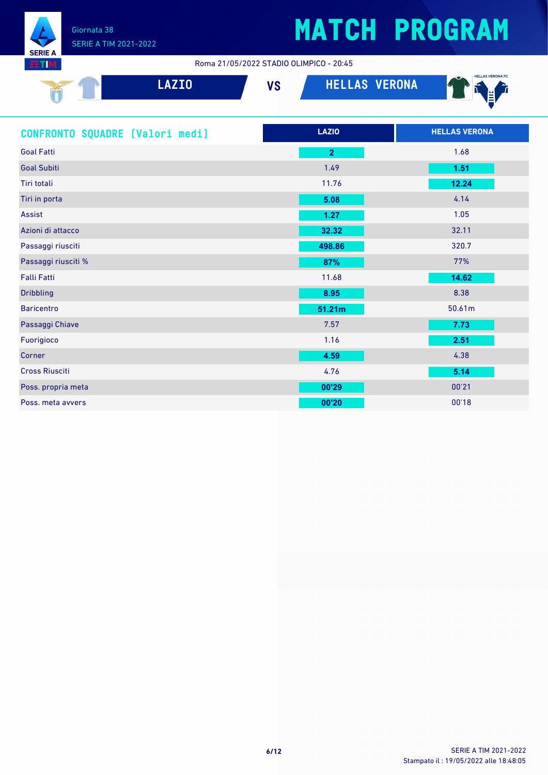

Roma 21/05/2022 STADIO OLIMPICO - 20:45

| <b>SSL4210</b> | <b>ZTA</b> | $\mathbf{u}$<br>ט ו | <b>VERONA</b><br>HELLAS | <b>HELLAS VERONA FC</b><br>$\sim$<br>M.<br>$\sim$ |
|----------------|------------|---------------------|-------------------------|---------------------------------------------------|
|                |            |                     |                         |                                                   |

| CONFRONTO SQUADRE [Valori medi] | <b>LAZIO</b>   | <b>HELLAS VERONA</b> |
|---------------------------------|----------------|----------------------|
| <b>Goal Fatti</b>               | $\overline{2}$ | 1.68                 |
| <b>Goal Subiti</b>              | 1.49           | 1.51                 |
| Tiri totali                     | 11.76          | 12.24                |
| Tiri in porta                   | 5.08           | 4.14                 |
| Assist                          | 1.27           | 1.05                 |
| Azioni di attacco               | 32.32          | 32.11                |
| Passaggi riusciti               | 498.86         | 320.7                |
| Passaggi riusciti %             | 87%            | 77%                  |
| <b>Falli Fatti</b>              | 11.68          | 14.62                |
| <b>Dribbling</b>                | 8.95           | 8.38                 |
| <b>Baricentro</b>               | 51.21m         | 50.61m               |
| Passaggi Chiave                 | 7.57           | 7.73                 |
| Fuorigioco                      | 1.16           | 2.51                 |
| Corner                          | 4.59           | 4.38                 |
| <b>Cross Riusciti</b>           | 4.76           | 5.14                 |
| Poss. propria meta              | 00'29          | 00'21                |
| Poss. meta avvers               | 00'20          | 00'18                |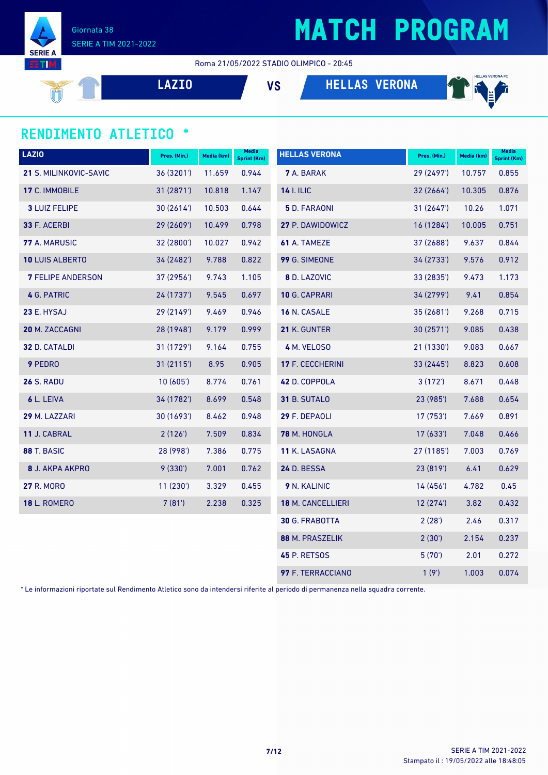

Giornata 38 SERIE A TIM 2021-2022

Roma 21/05/2022 STADIO OLIMPICO - 20:45

**LAZIO VS HELLAS VERONA**



#### **RENDIMENTO ATLETICO \***

| <b>LAZIO</b>             | Pres. (Min.) | Media (km) | Media<br><b>Sprint (Km)</b> | <b>HELLAS VERONA</b>  | Pres. (Min.) | Media (km) | <b>Media</b><br>Sprint (Km) |
|--------------------------|--------------|------------|-----------------------------|-----------------------|--------------|------------|-----------------------------|
| 21 S. MILINKOVIC-SAVIC   | 36 (3201')   | 11.659     | 0.944                       | 7 A. BARAK            | 29 (2497')   | 10.757     | 0.855                       |
| 17 C. IMMOBILE           | 31 (2871')   | 10.818     | 1.147                       | <b>14 I. ILIC</b>     | 32(2664)     | 10.305     | 0.876                       |
| <b>3 LUIZ FELIPE</b>     | 30(2614)     | 10.503     | 0.644                       | 5 D. FARAONI          | 31(2647)     | 10.26      | 1.071                       |
| 33 F. ACERBI             | 29 (2609')   | 10.499     | 0.798                       | 27 P. DAWIDOWICZ      | 16 (1284')   | 10.005     | 0.751                       |
| 77 A. MARUSIC            | 32 (2800')   | 10.027     | 0.942                       | 61 A. TAMEZE          | 37 (2688')   | 9.637      | 0.844                       |
| <b>10 LUIS ALBERTO</b>   | 34 (2482')   | 9.788      | 0.822                       | 99 G. SIMEONE         | 34(2733)     | 9.576      | 0.912                       |
| <b>7 FELIPE ANDERSON</b> | 37 (2956')   | 9.743      | 1.105                       | 8 D. LAZOVIC          | 33 (2835')   | 9.473      | 1.173                       |
| 4 G. PATRIC              | 24 (1737')   | 9.545      | 0.697                       | 10 G. CAPRARI         | 34 (2799')   | 9.41       | 0.854                       |
| 23 E. HYSAJ              | 29 (2149')   | 9.469      | 0.946                       | 16 N. CASALE          | 35(2681)     | 9.268      | 0.715                       |
| 20 M. ZACCAGNI           | 28 (1948')   | 9.179      | 0.999                       | 21 K. GUNTER          | 30 (2571')   | 9.085      | 0.438                       |
| 32 D. CATALDI            | 31 (1729')   | 9.164      | 0.755                       | 4 M. VELOSO           | 21 (1330')   | 9.083      | 0.667                       |
| 9 PEDRO                  | 31 (2115')   | 8.95       | 0.905                       | 17 F. CECCHERINI      | 33 (2445')   | 8.823      | 0.608                       |
| <b>26 S. RADU</b>        | 10(605)      | 8.774      | 0.761                       | 42 D. COPPOLA         | 3(172)       | 8.671      | 0.448                       |
| 6 L. LEIVA               | 34 (1782')   | 8.699      | 0.548                       | 31 B. SUTALO          | 23 (985')    | 7.688      | 0.654                       |
| 29 M. LAZZARI            | 30 (1693')   | 8.462      | 0.948                       | 29 F. DEPAOLI         | 17 (753')    | 7.669      | 0.891                       |
| 11 J. CABRAL             | 2(126')      | 7.509      | 0.834                       | 78 M. HONGLA          | 17(633)      | 7.048      | 0.466                       |
| 88 T. BASIC              | 28 (998')    | 7.386      | 0.775                       | 11 K. LASAGNA         | 27 (1185')   | 7.003      | 0.769                       |
| 8 J. AKPA AKPRO          | 9(330')      | 7.001      | 0.762                       | <b>24 D. BESSA</b>    | 23 (819')    | 6.41       | 0.629                       |
| <b>27 R. MORO</b>        | 11(230')     | 3.329      | 0.455                       | 9 N. KALINIC          | 14 (456')    | 4.782      | 0.45                        |
| <b>18 L. ROMERO</b>      | 7(81)        | 2.238      | 0.325                       | 18 M. CANCELLIERI     | 12(274)      | 3.82       | 0.432                       |
|                          |              |            |                             | <b>30 G. FRABOTTA</b> | 2(28')       | 2.46       | 0.317                       |
|                          |              |            |                             | 88 M. PRASZELIK       | 2(30')       | 2.154      | 0.237                       |
|                          |              |            |                             | <b>45 P. RETSOS</b>   | 5(70)        | 2.01       | 0.272                       |
|                          |              |            |                             | 97 F. TERRACCIANO     | 1(9')        | 1.003      | 0.074                       |

\* Le informazioni riportate sul Rendimento Atletico sono da intendersi riferite al periodo di permanenza nella squadra corrente.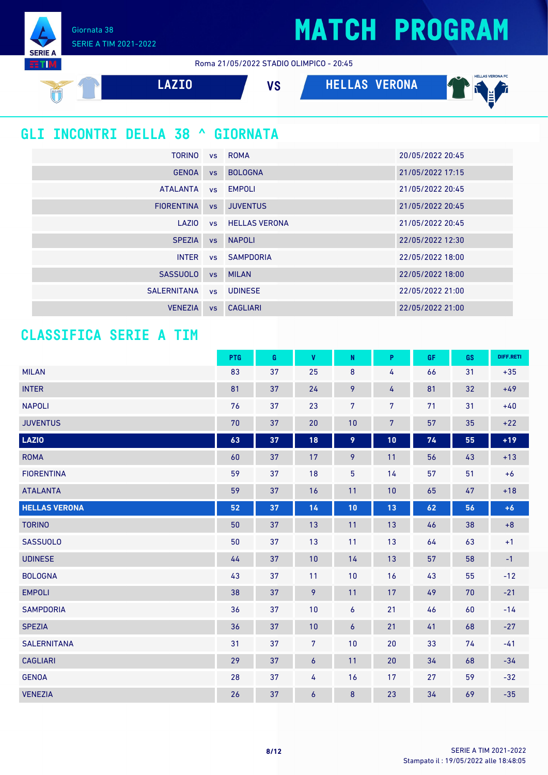Giornata 38 SERIE A TIM 2021-2022

**SERIE** тı

Roma 21/05/2022 STADIO OLIMPICO - 20:45



### **GLI INCONTRI DELLA 38 ^ GIORNATA**

| <b>TORINO</b>     |           | vs ROMA                 | 20/05/2022 20:45 |
|-------------------|-----------|-------------------------|------------------|
| <b>GENOA</b>      | <b>VS</b> | <b>BOLOGNA</b>          | 21/05/2022 17:15 |
| <b>ATALANTA</b>   |           | vs EMPOLI               | 21/05/2022 20:45 |
| <b>FIORENTINA</b> | VS        | <b>JUVENTUS</b>         | 21/05/2022 20:45 |
| LAZIO             |           | <b>vs</b> HELLAS VERONA | 21/05/2022 20:45 |
| <b>SPEZIA</b>     | VS        | <b>NAPOLI</b>           | 22/05/2022 12:30 |
| <b>INTER</b>      |           | vs SAMPDORIA            | 22/05/2022 18:00 |
| <b>SASSUOLO</b>   | <b>VS</b> | <b>MILAN</b>            | 22/05/2022 18:00 |
| SALERNITANA       |           | vs UDINESE              | 22/05/2022 21:00 |
| <b>VENEZIA</b>    | <b>VS</b> | <b>CAGLIARI</b>         | 22/05/2022 21:00 |

#### **CLASSIFICA SERIE A TIM**

|                      | PTG | G  | V              | N              | P              | GF | GS | DIFF.RETI |
|----------------------|-----|----|----------------|----------------|----------------|----|----|-----------|
| <b>MILAN</b>         | 83  | 37 | 25             | $\bf 8$        | 4              | 66 | 31 | $+35$     |
| <b>INTER</b>         | 81  | 37 | 24             | 9              | 4              | 81 | 32 | $+49$     |
| <b>NAPOLI</b>        | 76  | 37 | 23             | $\overline{7}$ | 7              | 71 | 31 | $+40$     |
| <b>JUVENTUS</b>      | 70  | 37 | 20             | 10             | $\overline{7}$ | 57 | 35 | $+22$     |
| <b>LAZIO</b>         | 63  | 37 | 18             | 9              | 10             | 74 | 55 | $+19$     |
| <b>ROMA</b>          | 60  | 37 | 17             | 9              | 11             | 56 | 43 | $+13$     |
| <b>FIORENTINA</b>    | 59  | 37 | 18             | 5              | 14             | 57 | 51 | $+6$      |
| <b>ATALANTA</b>      | 59  | 37 | 16             | 11             | 10             | 65 | 47 | $+18$     |
| <b>HELLAS VERONA</b> | 52  | 37 | 14             | 10             | 13             | 62 | 56 | $+6$      |
| <b>TORINO</b>        | 50  | 37 | 13             | 11             | 13             | 46 | 38 | $+8$      |
| <b>SASSUOLO</b>      | 50  | 37 | 13             | 11             | 13             | 64 | 63 | $+1$      |
| <b>UDINESE</b>       | 44  | 37 | 10             | 14             | 13             | 57 | 58 | $-1$      |
| <b>BOLOGNA</b>       | 43  | 37 | 11             | 10             | 16             | 43 | 55 | $-12$     |
| <b>EMPOLI</b>        | 38  | 37 | 9              | 11             | 17             | 49 | 70 | $-21$     |
| <b>SAMPDORIA</b>     | 36  | 37 | 10             | 6              | 21             | 46 | 60 | $-14$     |
| <b>SPEZIA</b>        | 36  | 37 | 10             | 6              | 21             | 41 | 68 | $-27$     |
| <b>SALERNITANA</b>   | 31  | 37 | $\overline{7}$ | 10             | 20             | 33 | 74 | $-41$     |
| <b>CAGLIARI</b>      | 29  | 37 | 6              | 11             | 20             | 34 | 68 | $-34$     |
| <b>GENOA</b>         | 28  | 37 | 4              | 16             | 17             | 27 | 59 | $-32$     |
| <b>VENEZIA</b>       | 26  | 37 | 6              | 8              | 23             | 34 | 69 | $-35$     |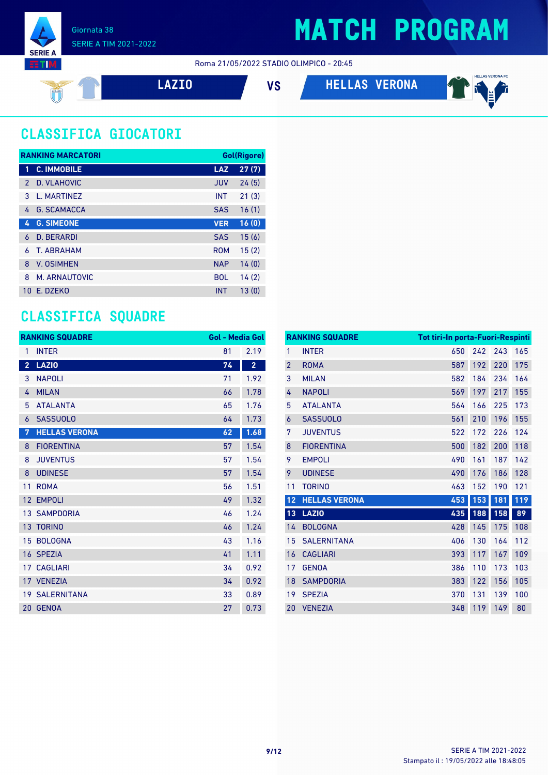

#### Roma 21/05/2022 STADIO OLIMPICO - 20:45



**LAZIO VS HELLAS VERONA**



### **CLASSIFICA GIOCATORI**

| <b>RANKING MARCATORI</b> |                    |            | Gol(Rigore) |
|--------------------------|--------------------|------------|-------------|
| 1                        | <b>C. IMMOBILE</b> | <b>LAZ</b> | 27(7)       |
| $\mathcal{P}$            | D. VLAHOVIC        | <b>JUV</b> | 24(5)       |
| 3                        | L. MARTINEZ        | <b>INT</b> | 21(3)       |
| 4                        | <b>G. SCAMACCA</b> | <b>SAS</b> | 16(1)       |
| 4                        | <b>G. SIMEONE</b>  | <b>VER</b> | 16(0)       |
| 6                        | <b>D. BERARDI</b>  | <b>SAS</b> | 15(6)       |
| 6                        | T. ABRAHAM         | <b>ROM</b> | 15(2)       |
| 8                        | <b>V. OSIMHEN</b>  | <b>NAP</b> | 14(0)       |
| 8                        | M. ARNAUTOVIC      | <b>BOL</b> | 14(2)       |
| 10 <sup>1</sup>          | F. DZFKO           | <b>INT</b> | 13(0)       |

### **CLASSIFICA SQUADRE**

| <b>RANKING SQUADRE</b> |                       | <b>Gol - Media Gol</b> |                |
|------------------------|-----------------------|------------------------|----------------|
| 1                      | <b>INTER</b>          | 81                     | 2.19           |
| $\overline{2}$         | <b>LAZIO</b>          | 74                     | $\overline{2}$ |
| 3                      | <b>NAPOLI</b>         | 71                     | 1.92           |
| 4                      | <b>MILAN</b>          | 66                     | 1.78           |
| 5                      | <b>ATALANTA</b>       | 65                     | 1.76           |
| 6                      | <b>SASSUOLO</b>       | 64                     | 1.73           |
| 7                      | <b>HELLAS VERONA</b>  | 62                     | 1.68           |
| 8                      | <b>FIORENTINA</b>     | 57                     | 1.54           |
| 8                      | <b>JUVENTUS</b>       | 57                     | 1.54           |
| 8                      | <b>UDINESE</b>        | 57                     | 1.54           |
| 11                     | <b>ROMA</b>           | 56                     | 1.51           |
| 12                     | <b>EMPOLI</b>         | 49                     | 1.32           |
|                        | <b>13 SAMPDORIA</b>   | 46                     | 1.24           |
|                        | 13 TORINO             | 46                     | 1.24           |
| 15                     | <b>BOLOGNA</b>        | 43                     | 1.16           |
|                        | 16 SPEZIA             | 41                     | 1.11           |
| 17                     | <b>CAGLIARI</b>       | 34                     | 0.92           |
|                        | 17 VENEZIA            | 34                     | 0.92           |
|                        | <b>19 SALERNITANA</b> | 33                     | 0.89           |
|                        | 20 GENOA              | 27                     | 0.73           |

|                | <b>RANKING SQUADRE</b> | <b>Tot tiri-In porta-Fuori-Respinti</b> |     |     |     |
|----------------|------------------------|-----------------------------------------|-----|-----|-----|
| 1              | <b>INTER</b>           | 650                                     | 242 | 243 | 165 |
| $\overline{2}$ | <b>ROMA</b>            | 587                                     | 192 | 220 | 175 |
| 3              | <b>MILAN</b>           | 582                                     | 184 | 234 | 164 |
| 4              | <b>NAPOLI</b>          | 569                                     | 197 | 217 | 155 |
| 5              | <b>ATALANTA</b>        | 564                                     | 166 | 225 | 173 |
| 6              | <b>SASSUOLO</b>        | 561                                     | 210 | 196 | 155 |
| 7              | <b>JUVENTUS</b>        | 522                                     | 172 | 226 | 124 |
| 8              | <b>FIORENTINA</b>      | 500                                     | 182 | 200 | 118 |
| 9              | <b>EMPOLI</b>          | 490                                     | 161 | 187 | 142 |
| 9              | <b>UDINESE</b>         | 490                                     | 176 | 186 | 128 |
| 11             | <b>TORINO</b>          | 463                                     | 152 | 190 | 121 |
| 12             | <b>HELLAS VERONA</b>   | 453                                     | 153 | 181 | 119 |
| 13             | <b>LAZIO</b>           | 435                                     | 188 | 158 | 89  |
| 14             | <b>BOLOGNA</b>         | 428                                     | 145 | 175 | 108 |
| 15             | <b>SALERNITANA</b>     | 406                                     | 130 | 164 | 112 |
| 16             | <b>CAGLIARI</b>        | 393                                     | 117 | 167 | 109 |
| 17             | <b>GENOA</b>           | 386                                     | 110 | 173 | 103 |
| 18             | <b>SAMPDORIA</b>       | 383                                     | 122 | 156 | 105 |
| 19             | <b>SPEZIA</b>          | 370                                     | 131 | 139 | 100 |
| 20             |                        | 348                                     |     |     |     |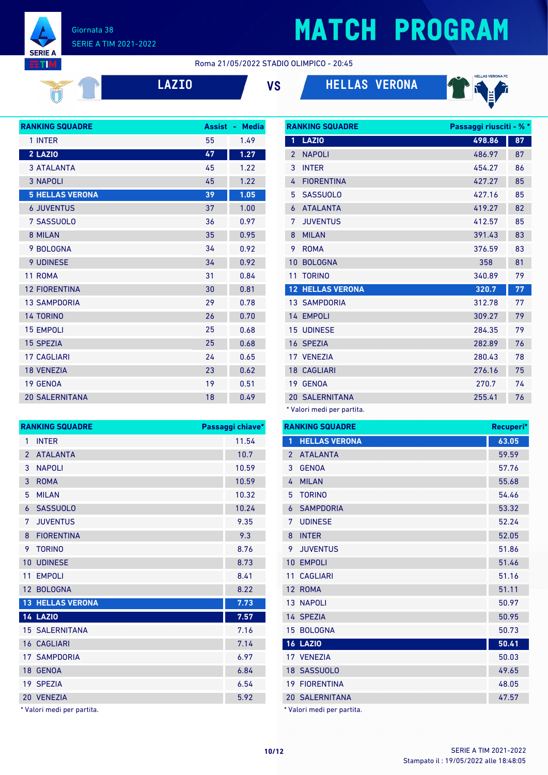#### Giornata 38 SERIE A TIM 2021-2022

**SERIE A RTM** 

## **MATCH PROGRAM**

#### Roma 21/05/2022 STADIO OLIMPICO - 20:45



**LAZIO VS HELLAS VERONA**



| <b>RANKING SQUADRE</b> | <b>Assist</b> | <b>Media</b><br>÷, |
|------------------------|---------------|--------------------|
| 1 INTER                | 55            | 1.49               |
| 2 LAZIO                | 47            | 1.27               |
| <b>3 ATALANTA</b>      | 45            | 1.22               |
| <b>3 NAPOLI</b>        | 45            | 1.22               |
| <b>5 HELLAS VERONA</b> | 39            | 1.05               |
| <b>6 JUVENTUS</b>      | 37            | 1.00               |
| 7 SASSUOLO             | 36            | 0.97               |
| 8 MILAN                | 35            | 0.95               |
| 9 BOLOGNA              | 34            | 0.92               |
| 9 UDINESE              | 34            | 0.92               |
| 11 ROMA                | 31            | 0.84               |
| <b>12 FIORENTINA</b>   | 30            | 0.81               |
| <b>13 SAMPDORIA</b>    | 29            | 0.78               |
| <b>14 TORINO</b>       | 26            | 0.70               |
| <b>15 EMPOLI</b>       | 25            | 0.68               |
| <b>15 SPEZIA</b>       | 25            | 0.68               |
| <b>17 CAGLIARI</b>     | 24            | 0.65               |
| <b>18 VENEZIA</b>      | 23            | 0.62               |
| <b>19 GENOA</b>        | 19            | 0.51               |
| <b>20 SALERNITANA</b>  | 18            | 0.49               |

**RANKING SQUADRE Passaggi chiave\*** 1 INTER 11.54

| <b>RANKING SQUADRE</b> |                         | Passaggi riusciti - % * |    |
|------------------------|-------------------------|-------------------------|----|
| 1                      | <b>LAZIO</b>            | 498.86                  | 87 |
| $\overline{2}$         | <b>NAPOLI</b>           | 486.97                  | 87 |
| 3                      | <b>INTER</b>            | 454.27                  | 86 |
| 4                      | <b>FIORENTINA</b>       | 427.27                  | 85 |
| 5                      | <b>SASSUOLO</b>         | 427.16                  | 85 |
| 6                      | <b>ATALANTA</b>         | 419.27                  | 82 |
| 7                      | <b>JUVENTUS</b>         | 412.57                  | 85 |
| 8                      | <b>MILAN</b>            | 391.43                  | 83 |
| 9                      | <b>ROMA</b>             | 376.59                  | 83 |
| 10                     | <b>BOLOGNA</b>          | 358                     | 81 |
| 11                     | <b>TORINO</b>           | 340.89                  | 79 |
|                        | <b>12 HELLAS VERONA</b> | 320.7                   | 77 |
|                        | <b>13 SAMPDORIA</b>     | 312.78                  | 77 |
|                        | 14 EMPOLI               | 309.27                  | 79 |
|                        | <b>15 UDINESE</b>       | 284.35                  | 79 |
|                        | 16 SPEZIA               | 282.89                  | 76 |
|                        | 17 VENEZIA              | 280.43                  | 78 |
|                        | <b>18 CAGLIARI</b>      | 276.16                  | 75 |
|                        | 19 GENOA                | 270.7                   | 74 |
|                        | <b>20 SALERNITANA</b>   | 255.41                  | 76 |
|                        |                         |                         |    |

\* Valori medi per partita.

|                 | <b>RANKING SQUADRE</b><br><b>HELLAS VERONA</b><br>1<br><b>ATALANTA</b><br>$\overline{2}$<br><b>GENOA</b><br>3<br><b>MILAN</b><br>4<br><b>TORINO</b><br>5<br><b>SAMPDORIA</b><br>6<br><b>UDINESE</b><br>7 |       |
|-----------------|----------------------------------------------------------------------------------------------------------------------------------------------------------------------------------------------------------|-------|
|                 |                                                                                                                                                                                                          | 63.05 |
|                 |                                                                                                                                                                                                          | 59.59 |
|                 |                                                                                                                                                                                                          | 57.76 |
|                 |                                                                                                                                                                                                          | 55.68 |
|                 |                                                                                                                                                                                                          | 54.46 |
|                 |                                                                                                                                                                                                          | 53.32 |
|                 |                                                                                                                                                                                                          | 52.24 |
| 8               | <b>INTER</b>                                                                                                                                                                                             | 52.05 |
| 9               | <b>JUVENTUS</b>                                                                                                                                                                                          | 51.86 |
| 10              | <b>EMPOLI</b>                                                                                                                                                                                            | 51.46 |
| 11              | <b>CAGLIARI</b>                                                                                                                                                                                          | 51.16 |
| 12 <sup>2</sup> | <b>ROMA</b>                                                                                                                                                                                              | 51.11 |
|                 | <b>13 NAPOLI</b>                                                                                                                                                                                         | 50.97 |
|                 | 14 SPEZIA                                                                                                                                                                                                | 50.95 |
| 15              | <b>BOLOGNA</b>                                                                                                                                                                                           | 50.73 |
|                 | <b>16 LAZIO</b>                                                                                                                                                                                          | 50.41 |
|                 | 17 VENEZIA                                                                                                                                                                                               | 50.03 |
|                 | 18 SASSUOLO                                                                                                                                                                                              | 49.65 |
|                 | <b>19 FIORENTINA</b>                                                                                                                                                                                     | 48.05 |
|                 | <b>20 SALERNITANA</b>                                                                                                                                                                                    | 47.57 |

\* Valori medi per partita.

| $\overline{2}$    | <b>ATALANTA</b>       | 10.7  |
|-------------------|-----------------------|-------|
| 3                 | <b>NAPOLI</b>         | 10.59 |
| 3                 | <b>ROMA</b>           | 10.59 |
| 5                 | <b>MILAN</b>          | 10.32 |
| 6                 | <b>SASSUOLO</b>       | 10.24 |
| 7                 | <b>JUVENTUS</b>       | 9.35  |
| 8                 | <b>FIORENTINA</b>     | 9.3   |
| 9                 | <b>TORINO</b>         | 8.76  |
| 10                | <b>UDINESE</b>        | 8.73  |
| 11                | <b>EMPOLI</b>         | 8.41  |
|                   |                       |       |
| $12 \overline{ }$ | <b>BOLOGNA</b>        | 8.22  |
| 13                | <b>HELLAS VERONA</b>  | 7.73  |
|                   | <b>14 LAZIO</b>       | 7.57  |
|                   | <b>15 SALERNITANA</b> | 7.16  |
|                   | <b>16 CAGLIARI</b>    | 7.14  |
|                   | <b>17 SAMPDORIA</b>   | 6.97  |
|                   | 18 GENOA              | 6.84  |
|                   | 19 SPEZIA             | 6.54  |
|                   | 20 VENEZIA            | 5.92  |

T.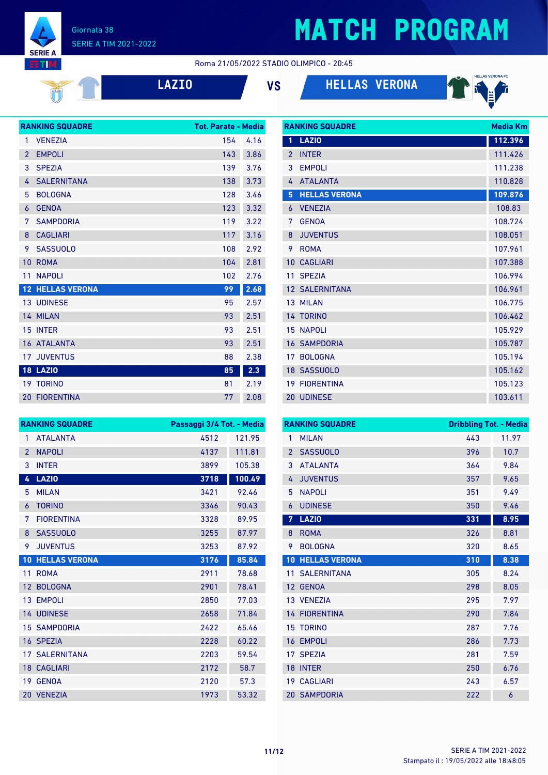

#### Giornata 38 SERIE A TIM 2021-2022

#### Roma 21/05/2022 STADIO OLIMPICO - 20:45

| 21 | $\mathcal{L}(\mathcal{L})$ | L |
|----|----------------------------|---|
|    |                            |   |

**LAZIO VS HELLAS VERONA**



|                | <b>RANKING SQUADRE</b>  | <b>Tot. Parate - Media</b> |      |
|----------------|-------------------------|----------------------------|------|
| 1              | <b>VENEZIA</b>          | 154                        | 4.16 |
| $\overline{2}$ | <b>EMPOLI</b>           | 143                        | 3.86 |
| 3              | <b>SPEZIA</b>           | 139                        | 3.76 |
| 4              | <b>SALERNITANA</b>      | 138                        | 3.73 |
| 5              | <b>BOLOGNA</b>          | 128                        | 3.46 |
| 6              | <b>GENOA</b>            | 123                        | 3.32 |
| 7              | <b>SAMPDORIA</b>        | 119                        | 3.22 |
| 8              | <b>CAGLIARI</b>         | 117                        | 3.16 |
| 9              | <b>SASSUOLO</b>         | 108                        | 2.92 |
| 10             | <b>ROMA</b>             | 104                        | 2.81 |
| 11             | <b>NAPOLI</b>           | 102                        | 2.76 |
|                | <b>12 HELLAS VERONA</b> | 99                         | 2.68 |
|                | <b>13 UDINESE</b>       | 95                         | 2.57 |
|                | 14 MILAN                | 93                         | 2.51 |
|                | 15 INTER                | 93                         | 2.51 |
|                | 16 ATALANTA             | 93                         | 2.51 |
| 17             | <b>JUVENTUS</b>         | 88                         | 2.38 |
|                | <b>18 LAZIO</b>         | 85                         | 2.3  |
|                | <b>19 TORINO</b>        | 81                         | 2.19 |
|                | <b>20 FIORENTINA</b>    | 77                         | 2.08 |

| <b>RANKING SQUADRE</b> | <b>Media Km</b>       |         |
|------------------------|-----------------------|---------|
| $\mathbf{1}$           | <b>LAZIO</b>          | 112.396 |
| $\mathcal{P}$          | <b>INTER</b>          | 111.426 |
| 3                      | <b>EMPOLI</b>         | 111.238 |
| 4                      | <b>ATALANTA</b>       | 110.828 |
| 5                      | <b>HELLAS VERONA</b>  | 109.876 |
| 6                      | <b>VENEZIA</b>        | 108.83  |
| 7                      | <b>GENOA</b>          | 108.724 |
| 8                      | <b>JUVENTUS</b>       | 108.051 |
| 9                      | <b>ROMA</b>           | 107.961 |
| 10                     | <b>CAGLIARI</b>       | 107.388 |
| 11                     | <b>SPEZIA</b>         | 106.994 |
|                        | <b>12 SALERNITANA</b> | 106.961 |
|                        | 13 MILAN              | 106.775 |
|                        | 14 TORINO             | 106.462 |
|                        | <b>15 NAPOLI</b>      | 105.929 |
|                        | <b>16 SAMPDORIA</b>   | 105.787 |
|                        | 17 BOLOGNA            | 105.194 |
|                        | 18 SASSUOLO           | 105.162 |
|                        | <b>19 FIORENTINA</b>  | 105.123 |
|                        | 20 UDINESE            | 103.611 |

|                 | <b>RANKING SQUADRE</b> | Passaggi 3/4 Tot. - Media |        |
|-----------------|------------------------|---------------------------|--------|
| 1               | <b>ATALANTA</b>        | 4512                      | 121.95 |
| $\overline{2}$  | <b>NAPOLI</b>          | 4137                      | 111.81 |
| 3               | <b>INTER</b>           | 3899                      | 105.38 |
| 4               | <b>LAZIO</b>           | 3718                      | 100.49 |
| 5               | <b>MILAN</b>           | 3421                      | 92.46  |
| 6               | <b>TORINO</b>          | 3346                      | 90.43  |
| 7               | <b>FIORENTINA</b>      | 3328                      | 89.95  |
| 8               | <b>SASSUOLO</b>        | 3255                      | 87.97  |
| 9               | <b>JUVENTUS</b>        | 3253                      | 87.92  |
| 10              | <b>HELLAS VERONA</b>   | 3176                      | 85.84  |
| 11              | <b>ROMA</b>            | 2911                      | 78.68  |
| 12 <sup>2</sup> | <b>BOLOGNA</b>         | 2901                      | 78.41  |
|                 | 13 EMPOLI              | 2850                      | 77.03  |
|                 | 14 UDINESE             | 2658                      | 71.84  |
|                 | <b>15 SAMPDORIA</b>    | 2422                      | 65.46  |
|                 | 16 SPEZIA              | 2228                      | 60.22  |
|                 | <b>17 SAI FRNITANA</b> | 2203                      | 59.54  |
|                 | <b>18 CAGLIARI</b>     | 2172                      | 58.7   |
|                 | 19 GENOA               | 2120                      | 57.3   |
|                 | 20 VENEZIA             | 1973                      | 53.32  |

| <b>RANKING SQUADRE</b> |                      |     | <b>Dribbling Tot. - Media</b> |  |
|------------------------|----------------------|-----|-------------------------------|--|
| 1                      | <b>MILAN</b>         | 443 | 11.97                         |  |
| $\overline{2}$         | <b>SASSUOLO</b>      | 396 | 10.7                          |  |
| 3                      | <b>ATALANTA</b>      | 364 | 9.84                          |  |
| 4                      | <b>JUVENTUS</b>      | 357 | 9.65                          |  |
| 5                      | <b>NAPOLI</b>        | 351 | 9.49                          |  |
| 6                      | <b>UDINESE</b>       | 350 | 9.46                          |  |
| 7                      | <b>LAZIO</b>         | 331 | 8.95                          |  |
| 8                      | <b>ROMA</b>          | 326 | 8.81                          |  |
| 9                      | <b>BOLOGNA</b>       | 320 | 8.65                          |  |
| 10                     | <b>HELLAS VERONA</b> | 310 | 8.38                          |  |
| 11                     | <b>SALERNITANA</b>   | 305 | 8.24                          |  |
| 12                     | <b>GENOA</b>         | 298 | 8.05                          |  |
|                        | 13 VENEZIA           | 295 | 7.97                          |  |
|                        | <b>14 FIORENTINA</b> | 290 | 7.84                          |  |
| 15                     | <b>TORINO</b>        | 287 | 7.76                          |  |
| 16                     | <b>EMPOLI</b>        | 286 | 7.73                          |  |
| 17                     | <b>SPEZIA</b>        | 281 | 7.59                          |  |
| 18                     | <b>INTER</b>         | 250 | 6.76                          |  |
| 19                     | <b>CAGLIARI</b>      | 243 | 6.57                          |  |
|                        | <b>20 SAMPDORIA</b>  | 222 | 6                             |  |